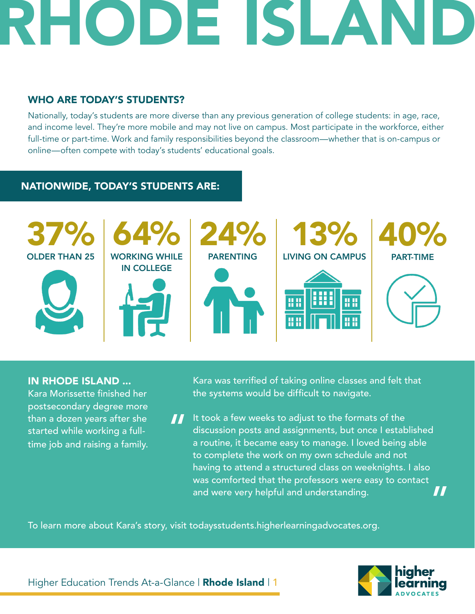### RHODE ISLAI

### WHO ARE TODAY'S STUDENTS?

Nationally, today's students are more diverse than any previous generation of college students: in age, race, and income level. They're more mobile and may not live on campus. Most participate in the workforce, either full-time or part-time. Work and family responsibilities beyond the classroom—whether that is on-campus or online—often compete with today's students' educational goals.

### NATIONWIDE, TODAY'S STUDENTS ARE:



IN RHODE ISLAND ... Kara Morissette finished her postsecondary degree more than a dozen years after she started while working a fulltime job and raising a family.

Kara was terrified of taking online classes and felt that the systems would be difficult to navigate.

It took a few weeks to adjust to the formats of the discussion posts and assignments, but once I estable a routine, it became easy to manage. I loved being discussion posts and assignments, but once I established a routine, it became easy to manage. I loved being able to complete the work on my own schedule and not having to attend a structured class on weeknights. I also was comforted that the professors were easy to contact and were very helpful and understanding. "

To learn more about Kara's story, visit todaysstudents.higherlearningadvocates.org.

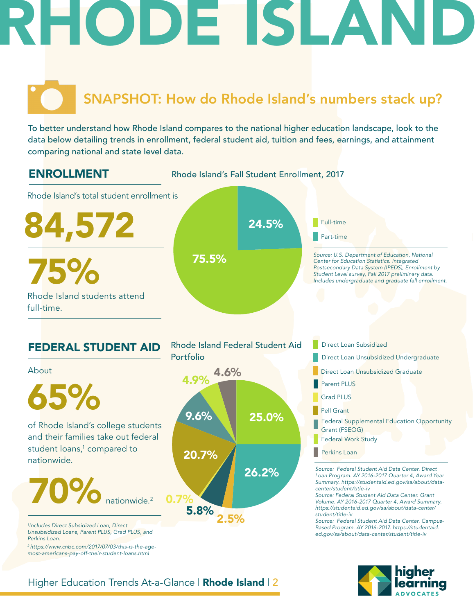## ODE ISL

### SNAPSHOT: How do Rhode Island's numbers stack up?

To better understand how Rhode Island compares to the national higher education landscape, look to the data below detailing trends in enrollment, federal student aid, tuition and fees, earnings, and attainment comparing national and state level data.



*2 https://www.cnbc.com/2017/07/03/this-is-the-agemost-americans-pay-off-their-student-loans.html*

### Higher Education Trends At-a-Glance | Rhode Island | 2

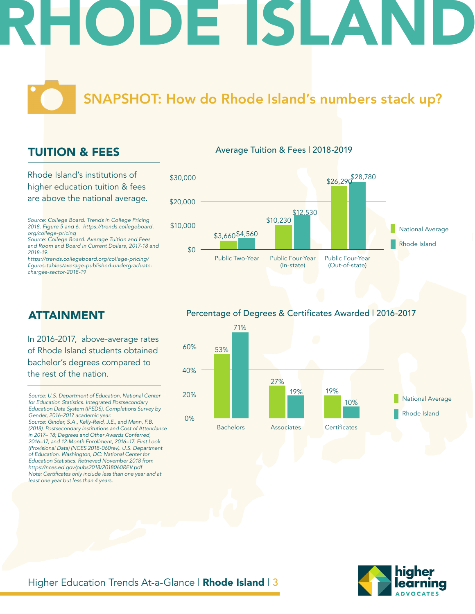## ODE ISLAI

### SNAPSHOT: How do Rhode Island's numbers stack up?

### TUITION & FEES

Rhode Island's institutions of higher education tuition & fees are above the national average.

*Source: College Board. Trends in College Pricing 2018. Figure 5 and 6. https://trends.collegeboard. org/college-pricing*

*Source: College Board. Average Tuition and Fees and Room and Board in Current Dollars, 2017-18 and 2018-19.*

*https://trends.collegeboard.org/college-pricing/* figures-tables/average-published-undergraduate*charges-sector-2018-19*

### ATTAINMENT

In 2016-2017, above-average rates of Rhode Island students obtained bachelor's degrees compared to the rest of the nation.

#### Average Tuition & Fees | 2018-2019



#### Percentage of Degrees & Certificates Awarded | 2016-2017





*Source: U.S. Department of Education, National Center for Education Statistics. Integrated Postsecondary Education Data System (IPEDS), Completions Survey by Gender, 2016-2017 academic year. Source: Ginder, S.A., Kelly-Reid, J.E., and Mann, F.B. (2018). Postsecondary Institutions and Cost of Attendance in 2017– 18; Degrees and Other Awards Conferred, 2016–17; and 12-Month Enrollment, 2016–17: First Look (Provisional Data) (NCES 2018-060rev). U.S. Department of Education. Washington, DC: National Center for Education Statistics. Retrieved November 2018 from https://nces.ed.gov/pubs2018/2018060REV.pdf* Note: Certificates only include less than one year and at *least one year but less than 4 years.*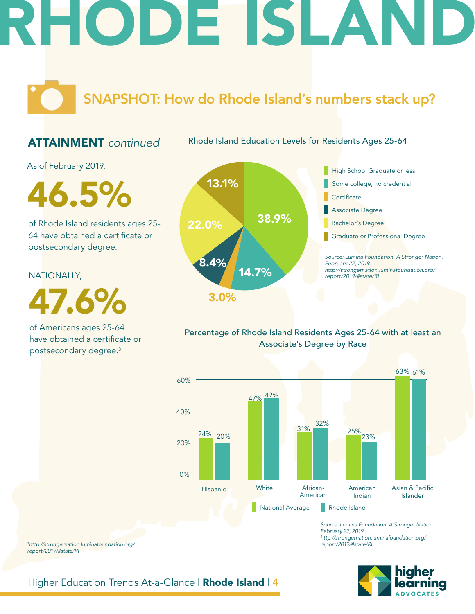## ODE ISLA

### SNAPSHOT: How do Rhode Island's numbers stack up?

### ATTAINMENT *continued*

Rhode Island Education Levels for Residents Ages 25-64

As of February 2019,

13.1% 46.5%

of Rhode Island residents ages 25- 64 have obtained a certificate or postsecondary degree.

NATIONALLY,

7.6%

of Americans ages 25-64 have obtained a certificate or postsecondary degree.3



### Percentage of Rhode Island Residents Ages 25-64 with at least an Associate's Degree by Race



*Source: Lumina Foundation. A Stronger Nation. February 22, 2019. http://strongernation.luminafoundation.org/ report/2019/#state/RI*



<sup>3</sup>*http://strongernation.luminafoundation.org/ report/2019/#state/RI*

Higher Education Trends At-a-Glance | Rhode Island | 4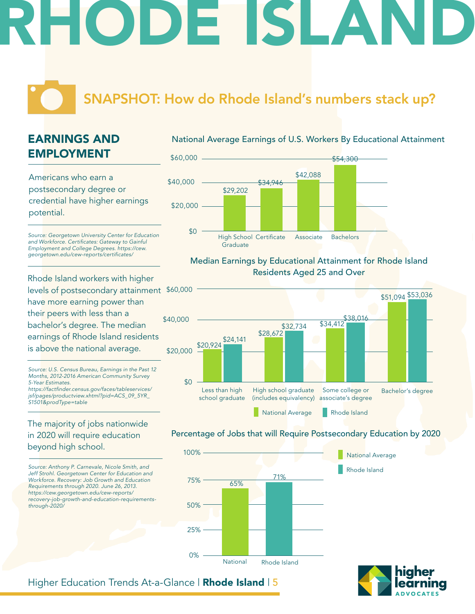# ODE ISL

### SNAPSHOT: How do Rhode Island's numbers stack up?

### EARNINGS AND EMPLOYMENT

Americans who earn a postsecondary degree or credential have higher earnings potential.

*Source: Georgetown University Center for Education*  and Workforce. Certificates: Gateway to Gainful *Employment and College Degrees. https://cew.* georgetown.edu/cew-reports/certificates/

Rhode Island workers with higher levels of postsecondary attainment \$60,000 have more earning power than their peers with less than a bachelor's degree. The median earnings of Rhode Island residents is above the national average. \$40,000

*Source: U.S. Census Bureau, Earnings in the Past 12 Months, 2012-2016 American Community Survey 5-Year Estimates.* https://factfinder.census.gov/faces/tableservices/

*jsf/pages/productview.xhtml?pid=ACS\_09\_5YR\_ S1501&prodType=table*

### The majority of jobs nationwide in 2020 will require education beyond high school.

*Source: Anthony P. Carnevale, Nicole Smith, and Jeff Strohl. Georgetown Center for Education and Workforce. Recovery: Job Growth and Education Requirements through 2020. June 26, 2013. https://cew.georgetown.edu/cew-reports/ recovery-job-growth-and-education-requirementsthrough-2020/*

### National Average Earnings of U.S. Workers By Educational Attainment



### Median Earnings by Educational Attainment for Rhode Island Residents Aged 25 and Over



#### Percentage of Jobs that will Require Postsecondary Education by 2020



### Higher Education Trends At-a-Glance | Rhode Island | 5